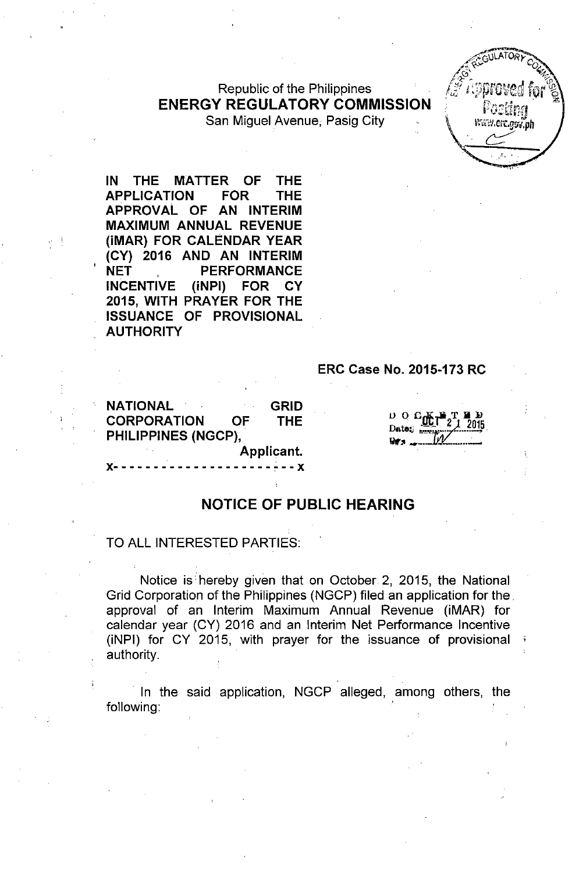Republic of the Philippines ENERGY REGULATORY COMMISSION San Miguel Avenue; Pasig City



IN THE MATTER OF THE APPLICATION FOR THE APPROVAL OF AN INTERIM MAXIMUM ANNUAL REVENUE (iMAR) FOR CALENDAR YEAR (CY) 2016 AND AN INTERIM NET PERFORMANCE INCENTIVE (iNPI) FOR CY 2015, WITH PRAYER FOR THE ISSUANCE OF PROVISIONAL **AUTHORITY** 

#### ERC Case No. 2015-173 RC

NATIONAL GRID CORPORATION OF THE PHILIPPINES (NGCP), Applicant.

x- - - - - - - - - - - - - - - - - - - - ~- - x

*v* 0 *G*<sub>*<u>W</u>illetters 1 2015</del></sub>* Qr:o \_\_ *.:J:i:at..\_ .... \_*

#### NOTICE OF PUBLIC HEARING

#### TO ALL INTERESTED PARTIES:

Notice is hereby given that on October 2, 2015, the National Grid Corporation of the Philippines (NGCP) filed an application for the. approval of an Interim Maximum Annual Revenue (iMAR) for calendar year (CY) 2016 and an Interim Net Performance Incentive (iNPI) for CY 2015, with prayer for the issuance of provisional authority.

In the said application, NGCP alleged, among others, the following: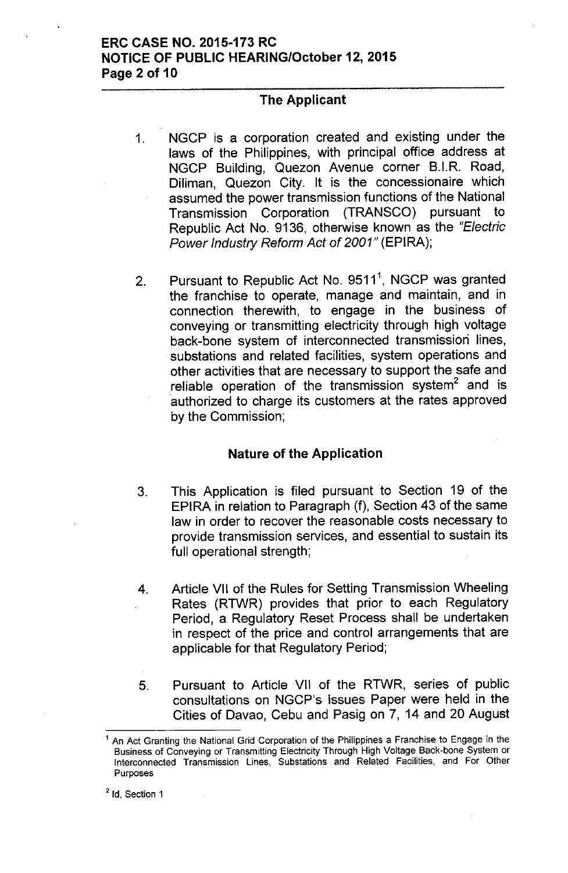## **ERC CASE NO. 2015-173 RC NOTICE OF PUBLIC HEARING/October 12, 2015 Page 2 of 10**

## **The Applicant**

- 1. NGCP is a corporation created and existing under the laws of the Philippines, with principal office address at NGCP Building, Quezon Avenue corner B.I.R. Road, Diliman, Quezon City. It is the concessionaire which assumed the power transmission functions of the National Transmission Corporation (TRANSCO) pursuant to Republic Act No. 9136, otherwise known as the *"Electric Power Industry Reform Act* of *2001"* (EPIRA);
- 2. Pursuant to Republic Act No. 9511<sup>1</sup>, NGCP was granted the franchise to operate, manage and maintain, and in connection therewith, to engage in the business of conveying or transmitting electricity through high voltage back-bone system of interconnected transmission lines, substations and related facilities, system operations and other activities that are necessary to support the safe and reliable operation of the transmission system $^{\mathsf{2}}$  and is authorized to charge its customers at the rates approved by the Commission;

## **Nature of the Application**

- 3. This Application is filed pursuant to Section 19 of the EPIRA in relation to Paragraph (f), Section 43 of the same law in order to recover the reasonable costs necessary to provide transmission services, and essential to sustain its full operational strength;
- 4. Article VII of the Rules for Setting Transmission Wheeling Rates (RTWR) provides that prior to each Regulatory Period, a Regulatory Reset Process shall be undertaken in respect of the price and control arrangements that are applicable for that Regulatory Period;
- 5. Pursuant to Article VII of the RTWR, series of public consultations on NGCP's Issues Paper were held in the Cities of Davao, Cebu and Pasig on 7, 14 and 20 August

<sup>2</sup> Id, Section 1

<sup>1</sup> An Act Granting the National Grid Corporation of the Philippines a Franchise to Engage in the Business of Conveying or Transmitting Electricity Through High Voltage Back-bone System or Interconnected Transmission Lines, Substations and Related Facilities, and For Other Purposes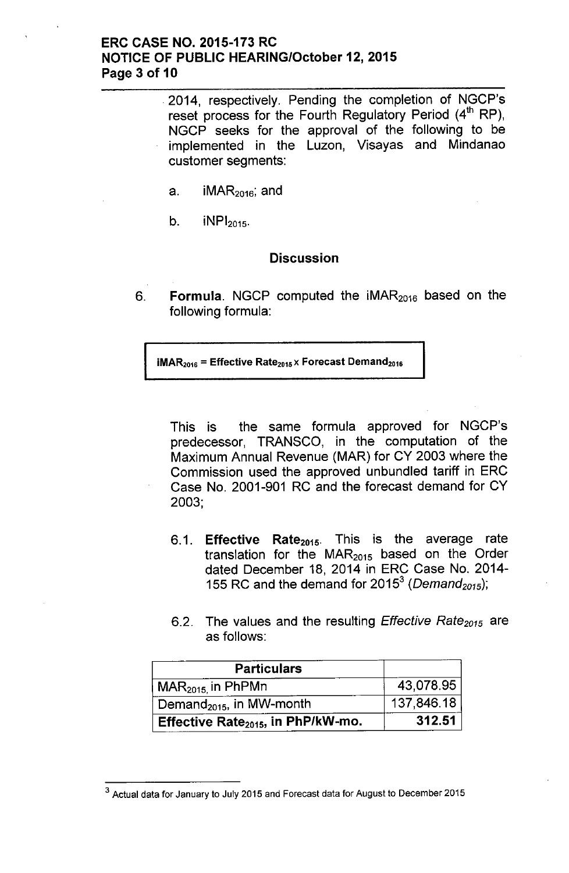## **ERC CASE NO. 2015-173 RC NOTICE OF PUBLIC HEARING/October 12,2015 Page 3 of 10**

.2014, respectively. Pending the completion of NGCP's reset process for the Fourth Regulatory Period  $(4<sup>th</sup> RP)$ , NGCP seeks for the approval of the following to be implemented in the Luzon, Visayas and Mindanao customer segments:

- a.  $iMAR<sub>2016</sub>;$  and
- $b.$  iNP $l_{2015}$ .

#### **Discussion**

6. **Formula.** NGCP computed the iMAR<sub>2016</sub> based on the following formula:

 $iMAR<sub>2016</sub>$  = Effective Rate<sub>2015</sub> x Forecast Demand<sub>2016</sub>

This is the same formula approved for NGCP's predecessor, TRANSCO, in the computation of the Maximum Annual Revenue (MAR) for CY 2003 where the Commission used the approved unbundled tariff in ERC Case No. 2001-901 RC and the forecast demand for CY 2003;

- 6.1. **Effective Rate<sub>2015</sub>.** This is the average rate translation for the  $MAR<sub>2015</sub>$  based on the Order dated December 18, 2014 in ERC Case No. 2014- 155 RC and the demand for 2015<sup>3</sup> (*Demand<sub>2015</sub>*)
- 6.2. The values and the resulting *Effective Rate<sub>2015</sub>* are as follows:

| <b>Particulars</b>                       |            |
|------------------------------------------|------------|
| $\mid$ MAR $_{2015}$ in PhPMn            | 43,078.95  |
| Demand <sub>2015</sub> , in MW-month     | 137,846.18 |
| Effective Rate $_{2015}$ , in PhP/kW-mo. | 312.51     |

<sup>3</sup> Actual data for January to July 2015 and Forecast data for August to December 2015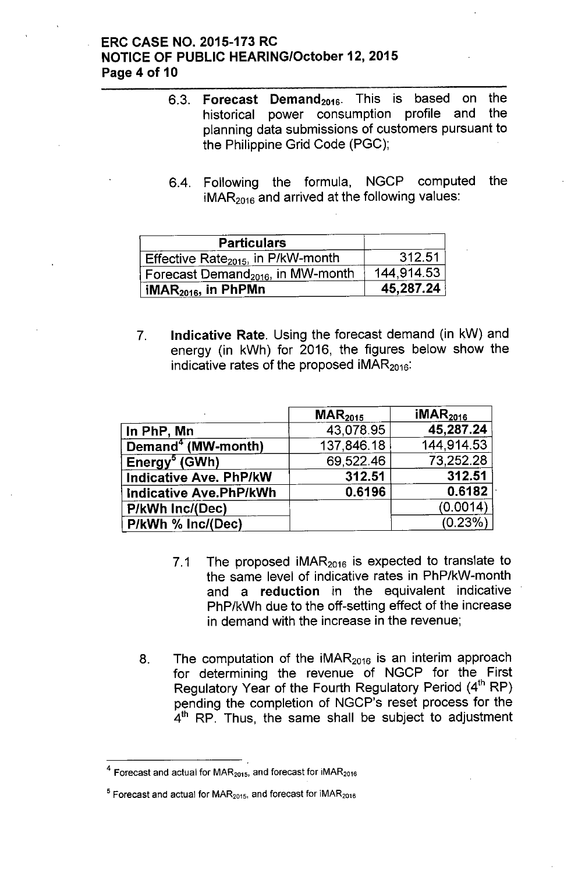## ERC CASE NO. 2015-173 RC NOTICE OF PUBLIC HEARING/October 12, 2015 Page 4 of 10

- 6.3. **Forecast Demand**<sub>2016</sub>. This is based on the bistorical power consumption profile and the historical power consumption profile and planning data submissions of customers pursuant to the Philippine Grid Code (PGC);
- 6.4. Following the formula, NGCP computed the  $iMAR<sub>2016</sub>$  and arrived at the following values:

| <b>Particulars</b>                             |            |
|------------------------------------------------|------------|
| Effective Rate <sub>2015</sub> , in P/kW-month | 312.51     |
| Forecast Demand <sub>2016</sub> , in MW-month  | 144,914.53 |
| iMAR $_{2016}$ , in PhPMn                      | 45,287.24  |

7. Indicative Rate. Using the forecast demand (in kW) and energy (in kWh) for 2016, the figures below show the indicative rates of the proposed  $IMAR<sub>2016</sub>$ :

|                                | $\mathsf{MAR}_{2015}$ | IMAR <sub>2016</sub> |
|--------------------------------|-----------------------|----------------------|
| In PhP, Mn                     | 43,078.95             | 45,287.24            |
| Demand <sup>4</sup> (MW-month) | 137,846.18            | 144,914.53           |
| Energy <sup>5</sup> (GWh)      | 69,522.46             | 73,252.28            |
| <b>Indicative Ave. PhP/kW</b>  | 312.51                | 312.51               |
| <b>Indicative Ave.PhP/kWh</b>  | 0.6196                | 0.6182               |
| P/kWh Inc/(Dec)                |                       | (0.0014)             |
| P/kWh % Inc/(Dec)              |                       | (0.23%)              |

- 7.1 The proposed  $IMAR<sub>2016</sub>$  is expected to translate to the same level of indicative rates in PhP/kW-month and a reduction in the equivalent indicative PhP/kWh due to the off-setting effect of the increase in demand with the increase in the revenue;
- 8. The computation of the  $IMAR<sub>2016</sub>$  is an interim approach for determining the revenue of NGCP for the First Regulatory Year of the Fourth Regulatory Period (4<sup>th</sup> RP) pending the completion of NGCP's reset process for the  $4<sup>th</sup>$  RP. Thus, the same shall be subject to adjustmen

 $4$  Forecast and actual for MAR<sub>2015</sub>, and forecast for iMAR<sub>2016</sub>

 $5$  Forecast and actual for MAR<sub>2015</sub>, and forecast for iMAR<sub>2016</sub>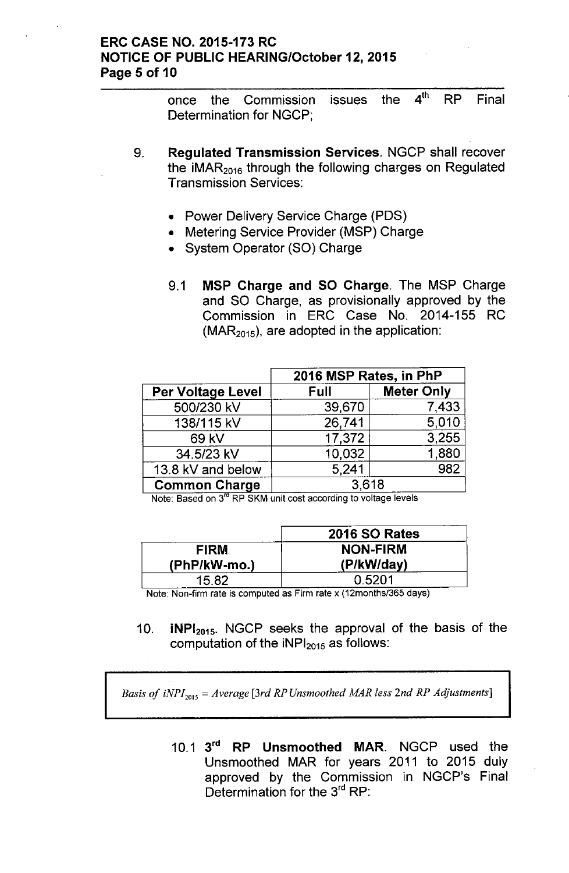## ERC CASE NO. 2015-173 RC NOTICE OF PUBLIC HEARING/October 12,2015 Page 5 of 10

once the Commission issues the 4<sup>th</sup> RP Final Determination for NGCP;

- 9. Regulated Transmission Services. NGCP shall recover the iMAR $_{2016}$  through the following charges on Regulated Transmission Services:
	- Power Delivery Service Charge (PDS)
	- Metering Service Provider (MSP) Charge
	- System Operator (SO) Charge
	- 9.1 MSP Charge and SO Charge. The MSP Charge and SO Charge, as provisionally approved by the Commission in ERC Case No. 2014-155 RC  $(MAR<sub>2015</sub>)$ , are adopted in the application:

|                      | 2016 MSP Rates, in PhP |                   |  |
|----------------------|------------------------|-------------------|--|
| Per Voltage Level    | Full                   | <b>Meter Only</b> |  |
| 500/230 kV           | 39,670                 | 7,433             |  |
| 138/115 kV           | 26,741                 | 5,010             |  |
| 69 kV                | 17,372                 | 3,255             |  |
| 34.5/23 kV           | 10,032                 | 1,880             |  |
| 13.8 kV and below    | 5.241                  | 982               |  |
| <b>Common Charge</b> | 3,618                  |                   |  |

Note: Based on 3<sup>rd</sup> RP SKM unit cost according to voltage levels

|                | 2016 SO Rates   |
|----------------|-----------------|
| <b>FIRM</b>    | <b>NON-FIRM</b> |
| $(PhP/kW-mo.)$ | (P/kW/day)      |
| 15.82          | 0.5201          |

Note: Non-firm rate is computed as Firm rate x (12months/365 days)

10. **iNPI**<sub>2015</sub>. NGCP seeks the approval of the basis of the computation of the  $\text{INPI}_{2015}$  as follows:

*Basis* of  $iNPI_{2015} = Average$  [3rd *RP Unsmoothed MAR less 2nd RP Adjustments*]

10.1 3<sup>rd</sup> RP Unsmoothed MAR. NGCP used the Unsmoothed MAR for years 2011 to 2015 duly approved by the Commission in NGCP's Final Determination for the 3<sup>rd</sup> RP: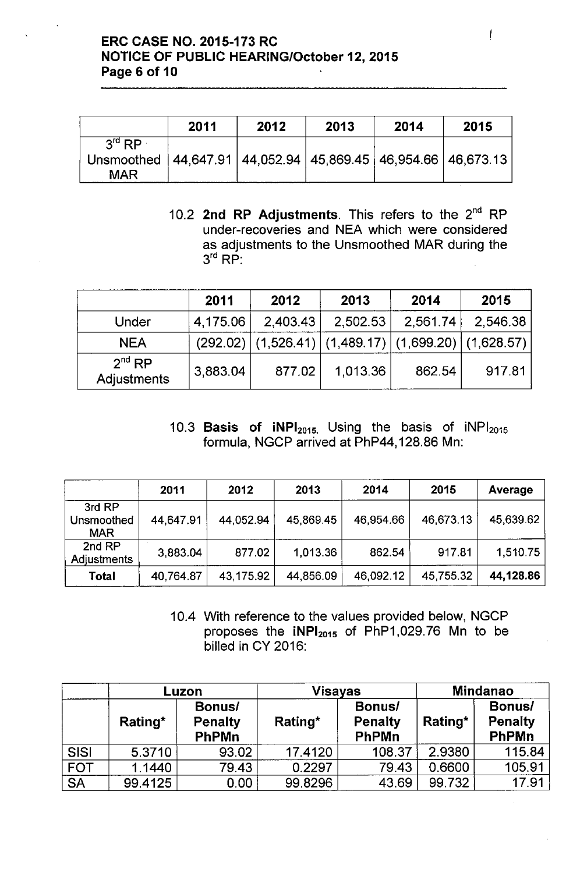# ERC CASE NO. 2015-173 RC NOTICE OF PUBLIC HEARING/October 12,2015 Page 6 of 10

|                                                                                                                | 2011 | 2012 | 2013 | 2014 | 2015 |
|----------------------------------------------------------------------------------------------------------------|------|------|------|------|------|
| $3^{\mathsf{rd}}$ RP<br>Unsmoothed   44,647.91   44,052.94   45,869.45   46,954.66   46,673.13  <br><b>MAR</b> |      |      |      |      |      |

10.2 **2nd RP Adjustments**. This refers to the 2<sup>nd</sup> RP under-recoveries and NEA which were considered as adjustments to the Unsmoothed MAR during the  $3<sup>rd</sup>$  RP:

|                                   | 2011     | 2012     | 2013                                                           | 2014     | 2015     |
|-----------------------------------|----------|----------|----------------------------------------------------------------|----------|----------|
| Under                             | 4,175.06 | 2,403.43 | 2,502.53                                                       | 2,561.74 | 2,546.38 |
| <b>NEA</b>                        |          |          | $(292.02)$ $(1,526.41)$ $(1,489.17)$ $(1,699.20)$ $(1,628.57)$ |          |          |
| 2 <sup>nd</sup> RP<br>Adjustments | 3,883.04 | 877.02   | 1,013.36                                                       | 862.54   | 917.81   |

10.3 Basis of  $iNPI<sub>2015</sub>$ . Using the basis of  $iNPI<sub>2015</sub>$ formula, NGCP arrived at PhP44, 128.86 Mn:

|                                    | 2011      | 2012      | 2013      | 2014      | 2015      | Average   |
|------------------------------------|-----------|-----------|-----------|-----------|-----------|-----------|
| 3rd RP<br>Unsmoothed<br><b>MAR</b> | 44,647.91 | 44,052.94 | 45,869.45 | 46 954.66 | 46,673.13 | 45,639.62 |
| 2nd RP<br><b>Adjustments</b>       | 3,883.04  | 877.02    | 1,013.36  | 862.54    | 917.81    | 1,510.75  |
| <b>Total</b>                       | 40,764.87 | 43,175.92 | 44,856.09 | 46,092.12 | 45.755.32 | 44,128.86 |

10.4 With reference to the values provided below, NGCP proposes the  $iNPI<sub>2015</sub>$  of PhP1,029.76 Mn to be billed in CY 2016:

|             | Luzon   |                                          | Visayas |                                          | <b>Mindanao</b> |                                          |
|-------------|---------|------------------------------------------|---------|------------------------------------------|-----------------|------------------------------------------|
|             | Rating* | Bonus/<br><b>Penalty</b><br><b>PhPMn</b> | Rating* | Bonus/<br><b>Penalty</b><br><b>PhPMn</b> | Rating*         | Bonus/<br><b>Penalty</b><br><b>PhPMn</b> |
| <b>SISI</b> | 5.3710  | 93.02                                    | 17.4120 | 108.37                                   | 2.9380          | 115.84                                   |
| <b>FOT</b>  | 1.1440  | 79.43                                    | 0.2297  | 79.43                                    | 0.6600          | 105.91                                   |
| <b>SA</b>   | 99.4125 | 0.00                                     | 99.8296 | 43.69                                    | 99.732          | 17.91                                    |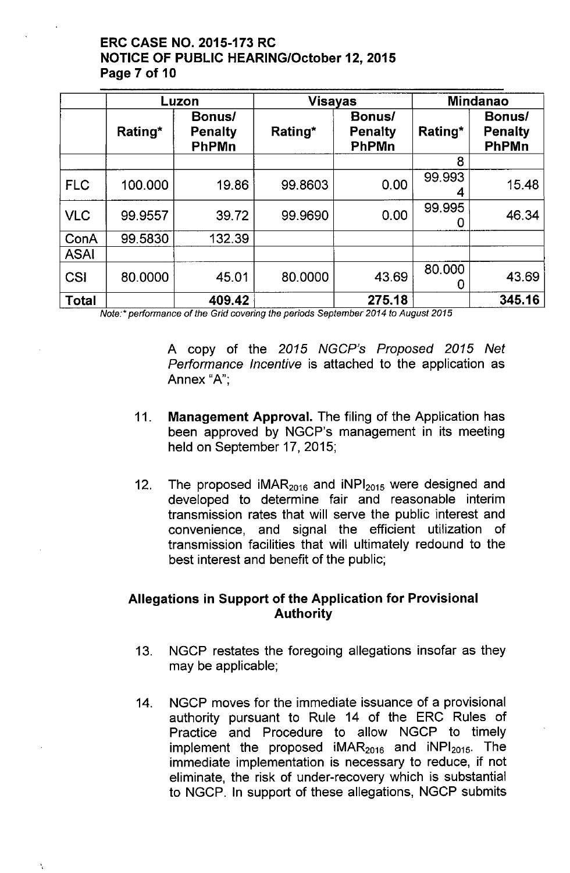# ERC CASE NO. 2015-173 RC NOTICE OF PUBLIC HEARING/October 12,2015 Page 7 of 10

|             | Luzon   |                                   | <b>Visayas</b> |                                   | <b>Mindanao</b> |                                          |
|-------------|---------|-----------------------------------|----------------|-----------------------------------|-----------------|------------------------------------------|
|             | Rating* | Bonus/<br><b>Penalty</b><br>PhPMn | Rating*        | Bonus/<br><b>Penalty</b><br>PhPMn | Rating*         | Bonus/<br><b>Penalty</b><br><b>PhPMn</b> |
|             |         |                                   |                |                                   | 8               |                                          |
| <b>FLC</b>  | 100.000 | 19.86                             | 99.8603        | 0.00                              | 99.993          | 15.48                                    |
| <b>VLC</b>  | 99.9557 | 39.72                             | 99.9690        | 0.00                              | 99.995<br>0     | 46.34                                    |
| ConA        | 99.5830 | 132.39                            |                |                                   |                 |                                          |
| <b>ASAI</b> |         |                                   |                |                                   |                 |                                          |
| <b>CSI</b>  | 80.0000 | 45.01                             | 80.0000        | 43.69                             | 80.000<br>0     | 43.69                                    |
| Total       |         | 409.42                            |                | 275.18                            |                 | 345.16                                   |

*Note:' performance* of *the Grid covering the periods September 2014 to August 2015*

A copy of the *2015 NGCP's Proposed 2015 Net Performance Incentive* is attached to the application as Annex "A":

- 11. Management Approval. The filing of the Application has been approved by NGCP's management in its meeting held on September 17,2015;
- 12. The proposed  $IMAR<sub>2016</sub>$  and  $INPI<sub>2015</sub>$  were designed and developed to determine fair and reasonable interim transmission rates that will serve the public interest and convenience, and signal the efficient utilization of transmission facilities that will ultimately redound to the best interest and benefit of the public;

# Allegations in Support of the Application for Provisional Authority

- 13. NGCP restates the foregoing allegations insofar as they may be applicable;
- 14. NGCP moves for the immediate issuance of a provisional authority pursuant to Rule 14 of the ERC Rules of Practice and Procedure to allow NGCP to timely implement the proposed  $IMAR<sub>2016</sub>$  and  $INPI<sub>2015</sub>$ . The immediate implementation is necessary to reduce, if not eliminate, the risk of under-recovery which is substantial to NGCP. In support of these allegations, NGCP submits

..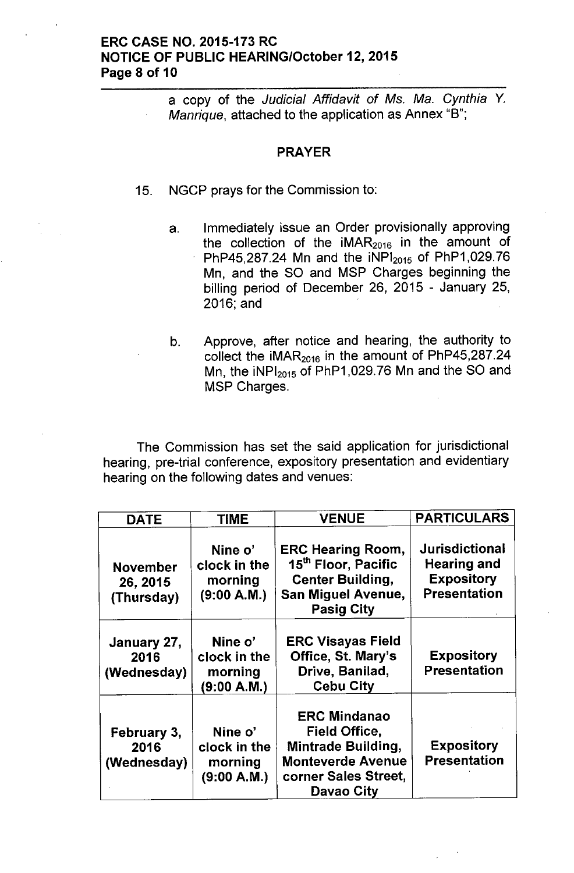## ERC CASE NO. 2015-173 RC NOTICE OF PUBLIC HEARING/October 12, 2015 Page 8 of 10

a copy of the *Judicial Affidavit* of Ms. *Ma. Cynthia* Y. *Manrique,* attached to the application as Annex "8";

#### PRAYER

- 15. NGCP prays for the Commission to:
	- a. Immediately issue an Order provisionally approving the collection of the  $IMAR<sub>2016</sub>$  in the amount of PhP45,287.24 Mn and the  $NPI_{2015}$  of PhP1,029.76 Mn, and the SO and MSP Charges beginning the billing period of December 26, 2015 - January 25, 2016; and
	- b. Approve, after notice and hearing, the authority to collect the  $iMAR<sub>2016</sub>$  in the amount of PhP45,287.24 Mn, the  $iNPl<sub>2015</sub>$  of PhP1,029.76 Mn and the SO and MSP Charges.

The Commission has set the said application for jurisdictional hearing, pre-trial conference, expository presentation and evidentiary hearing on the following dates and venues:

| <b>DATE</b>                               | <b>TIME</b>                                       | <b>VENUE</b>                                                                                                                             | <b>PARTICULARS</b>                                                                      |
|-------------------------------------------|---------------------------------------------------|------------------------------------------------------------------------------------------------------------------------------------------|-----------------------------------------------------------------------------------------|
| <b>November</b><br>26, 2015<br>(Thursday) | Nine o'<br>clock in the<br>morning<br>(9:00 A.M.) | <b>ERC Hearing Room,</b><br>15 <sup>th</sup> Floor, Pacific<br><b>Center Building,</b><br><b>San Miguel Avenue,</b><br><b>Pasig City</b> | <b>Jurisdictional</b><br><b>Hearing and</b><br><b>Expository</b><br><b>Presentation</b> |
| January 27,<br>2016<br>(Wednesday)        | Nine o'<br>clock in the<br>morning<br>(9:00 A.M.) | <b>ERC Visayas Field</b><br>Office, St. Mary's<br>Drive, Banilad,<br><b>Cebu City</b>                                                    | <b>Expository</b><br><b>Presentation</b>                                                |
| February 3,<br>2016<br>(Wednesday)        | Nine o'<br>clock in the<br>morning<br>(9:00 A.M.) | <b>ERC Mindanao</b><br>Field Office,<br><b>Mintrade Building,</b><br><b>Monteverde Avenue</b><br>corner Sales Street,<br>Davao City      | <b>Expository</b><br><b>Presentation</b>                                                |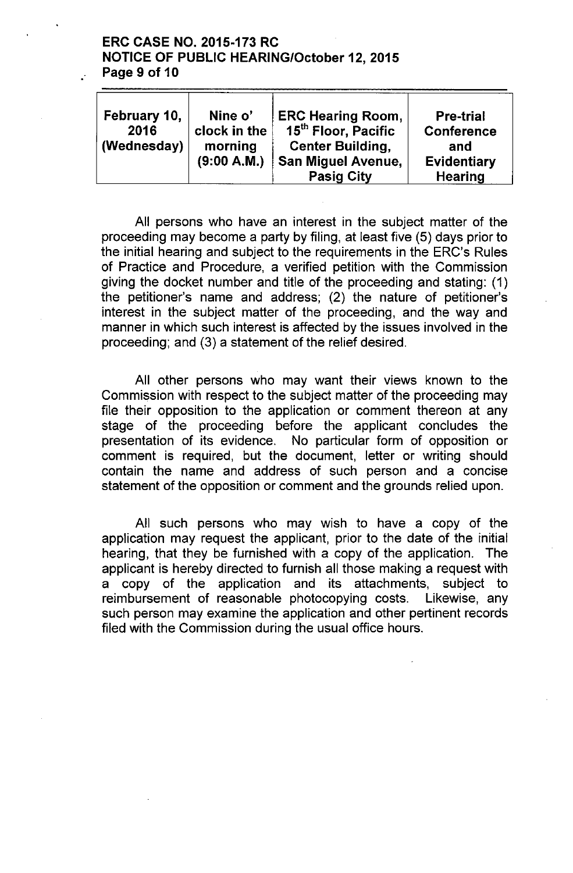## ERC CASE NO. 2015-173 RC NOTICE OF PUBLIC HEARING/October 12,2015 Page 9 of 10

| February 10,<br>2016<br>(Wednesday) | Nine o'<br>clock in the<br>morning | <b>ERC Hearing Room,</b><br>15 <sup>th</sup> Floor, Pacific<br><b>Center Building,</b> | <b>Pre-trial</b><br><b>Conference</b><br>and |
|-------------------------------------|------------------------------------|----------------------------------------------------------------------------------------|----------------------------------------------|
|                                     | (9:00 A.M.)                        | <b>San Miguel Avenue,</b>                                                              | Evidentiary                                  |
|                                     |                                    | <b>Pasig City</b>                                                                      | <b>Hearing</b>                               |

All persons who have an interest in the subject matter of the proceeding may become a party by filing, at least five (5) days prior to the initial hearing and subject to the requirements in the ERC's Rules of Practice and Procedure, a verified petition with the Commission giving the docket number and title of the proceeding and stating: (1) the petitioner's name and address; (2) the nature of petitioner's interest in the subject matter of the proceeding, and the way and manner in which such interest is affected by the issues involved in the proceeding; and (3) a statement of the relief desired.

All other persons who may want their views known to the Commission with respect to the subject matter of the proceeding may file their opposition to the application or comment thereon at any stage of the proceeding before the applicant concludes the presentation of its evidence. No particular form of opposition or comment is required, but the document, letter or writing should contain the name and address of such person and a concise statement of the opposition or comment and the grounds relied upon.

All such persons who may wish to have a copy of the application may request the applicant, prior to the date of the initial hearing, that they be furnished with a copy of the application. The applicant is hereby directed to furnish all those making a request with a copy of the application and its attachments, subject to reimbursement of reasonable photocopying costs. Likewise, any such person may examine the application and other pertinent records filed with the Commission during the usual office hours.